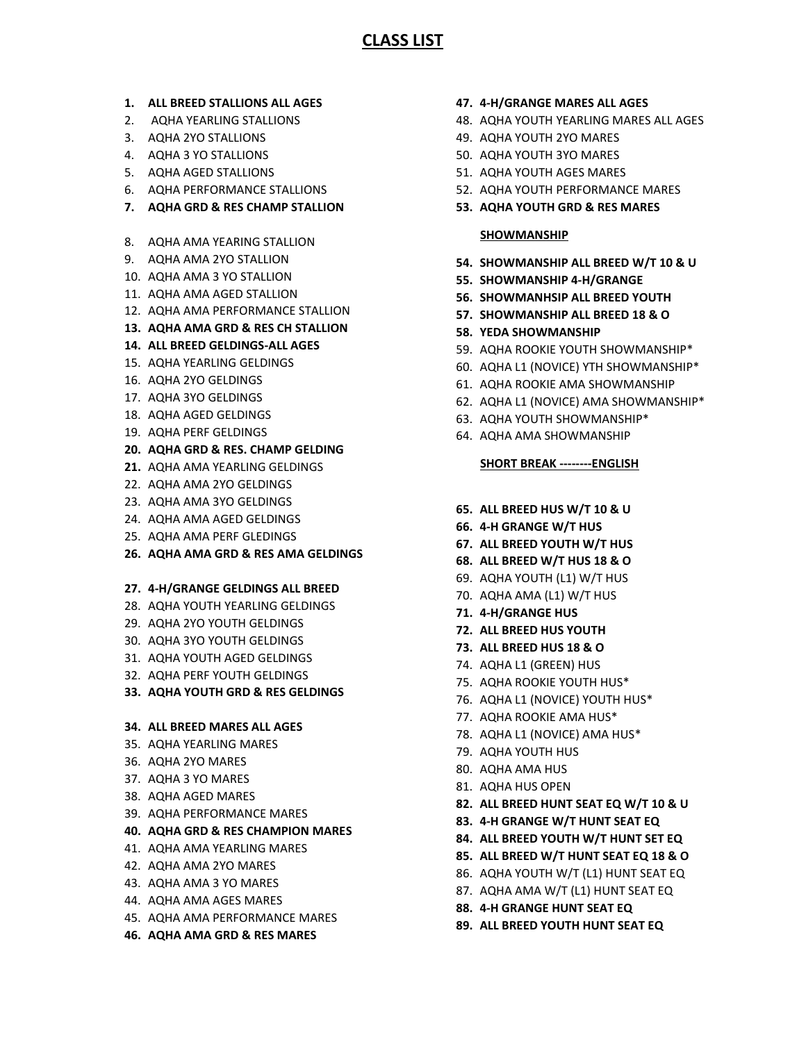# **CLASS LIST**

- **1. ALL BREED STALLIONS ALL AGES**
- 2. AQHA YEARLING STALLIONS
- 3. AQHA 2YO STALLIONS
- 4. AQHA 3 YO STALLIONS
- 5. AQHA AGED STALLIONS
- 6. AQHA PERFORMANCE STALLIONS
- **7. AQHA GRD & RES CHAMP STALLION**
- 8. AQHA AMA YEARING STALLION
- 9. AQHA AMA 2YO STALLION
- 10. AQHA AMA 3 YO STALLION
- 11. AQHA AMA AGED STALLION
- 12. AQHA AMA PERFORMANCE STALLION
- **13. AQHA AMA GRD & RES CH STALLION**
- **14. ALL BREED GELDINGS-ALL AGES**
- 15. AQHA YEARLING GELDINGS
- 16. AQHA 2YO GELDINGS
- 17. AQHA 3YO GELDINGS
- 18. AQHA AGED GELDINGS
- 19. AQHA PERF GELDINGS
- **20. AQHA GRD & RES. CHAMP GELDING**
- **21.** AQHA AMA YEARLING GELDINGS
- 22. AQHA AMA 2YO GELDINGS
- 23. AQHA AMA 3YO GELDINGS
- 24. AQHA AMA AGED GELDINGS
- 25. AQHA AMA PERF GLEDINGS
- **26. AQHA AMA GRD & RES AMA GELDINGS**

### **27. 4-H/GRANGE GELDINGS ALL BREED**

- 28. AQHA YOUTH YEARLING GELDINGS
- 29. AQHA 2YO YOUTH GELDINGS
- 30. AQHA 3YO YOUTH GELDINGS
- 31. AQHA YOUTH AGED GELDINGS
- 32. AQHA PERF YOUTH GELDINGS

## **33. AQHA YOUTH GRD & RES GELDINGS**

### **34. ALL BREED MARES ALL AGES**

- 35. AQHA YEARLING MARES
- 36. AQHA 2YO MARES
- 37. AQHA 3 YO MARES
- 38. AQHA AGED MARES
- 39. AQHA PERFORMANCE MARES

## **40. AQHA GRD & RES CHAMPION MARES**

- 41. AQHA AMA YEARLING MARES
- 42. AQHA AMA 2YO MARES
- 43. AQHA AMA 3 YO MARES
- 44. AQHA AMA AGES MARES
- 45. AQHA AMA PERFORMANCE MARES
- **46. AQHA AMA GRD & RES MARES**
- **47. 4-H/GRANGE MARES ALL AGES**
- 48. AQHA YOUTH YEARLING MARES ALL AGES
- 49. AQHA YOUTH 2YO MARES
- 50. AQHA YOUTH 3YO MARES
- 51. AQHA YOUTH AGES MARES
- 52. AQHA YOUTH PERFORMANCE MARES
- **53. AQHA YOUTH GRD & RES MARES**

### **SHOWMANSHIP**

- **54. SHOWMANSHIP ALL BREED W/T 10 & U**
- **55. SHOWMANSHIP 4-H/GRANGE**
- **56. SHOWMANHSIP ALL BREED YOUTH**
- **57. SHOWMANSHIP ALL BREED 18 & O**
- **58. YEDA SHOWMANSHIP**
- 59. AQHA ROOKIE YOUTH SHOWMANSHIP\*
- 60. AQHA L1 (NOVICE) YTH SHOWMANSHIP\*
- 61. AQHA ROOKIE AMA SHOWMANSHIP
- 62. AQHA L1 (NOVICE) AMA SHOWMANSHIP\*
- 63. AQHA YOUTH SHOWMANSHIP\*
- 64. AQHA AMA SHOWMANSHIP

## **SHORT BREAK --------ENGLISH**

- **65. ALL BREED HUS W/T 10 & U**
- **66. 4-H GRANGE W/T HUS**
- **67. ALL BREED YOUTH W/T HUS**
- **68. ALL BREED W/T HUS 18 & O**
- 69. AQHA YOUTH (L1) W/T HUS
- 70. AQHA AMA (L1) W/T HUS
- **71. 4-H/GRANGE HUS**
- **72. ALL BREED HUS YOUTH**
- **73. ALL BREED HUS 18 & O**
- 74. AQHA L1 (GREEN) HUS
- 75. AQHA ROOKIE YOUTH HUS\*
- 76. AQHA L1 (NOVICE) YOUTH HUS\*
- 77. AQHA ROOKIE AMA HUS\*
- 78. AQHA L1 (NOVICE) AMA HUS\*
- 79. AQHA YOUTH HUS
- 80. AQHA AMA HUS
- 81. AQHA HUS OPEN
- **82. ALL BREED HUNT SEAT EQ W/T 10 & U**
- **83. 4-H GRANGE W/T HUNT SEAT EQ**
- **84. ALL BREED YOUTH W/T HUNT SET EQ**
- **85. ALL BREED W/T HUNT SEAT EQ 18 & O**
- 86. AQHA YOUTH W/T (L1) HUNT SEAT EQ
- 87. AQHA AMA W/T (L1) HUNT SEAT EQ
- **88. 4-H GRANGE HUNT SEAT EQ**
- **89. ALL BREED YOUTH HUNT SEAT EQ**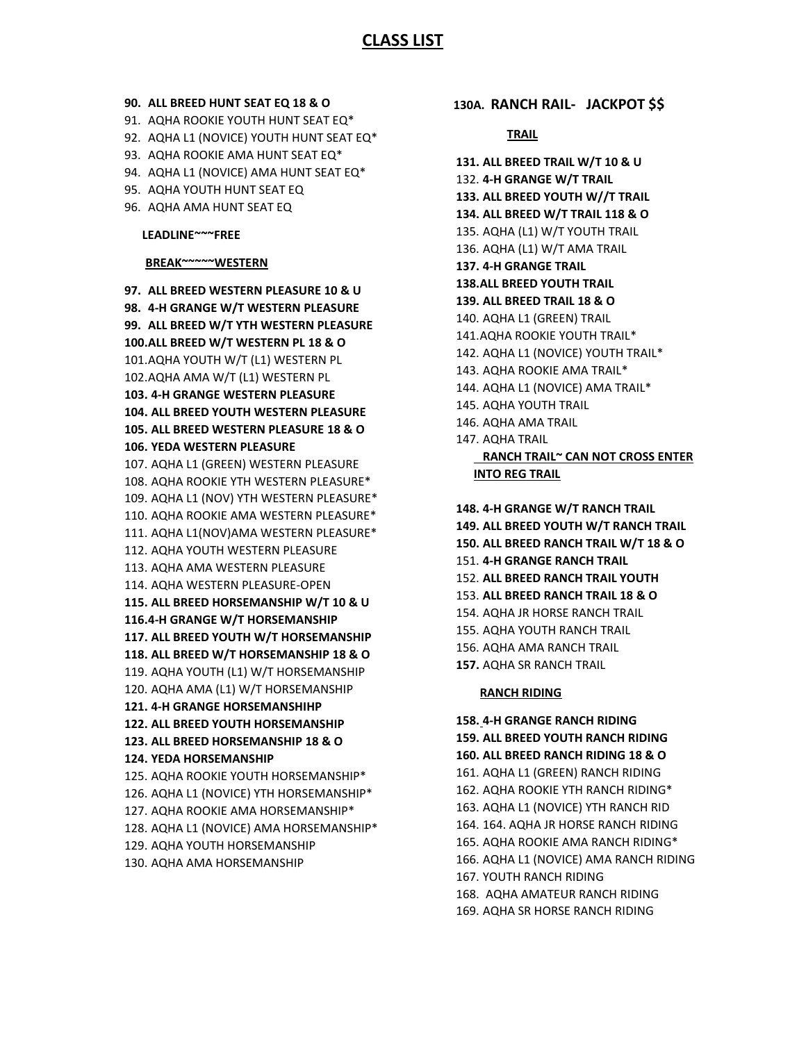## **CLASS LIST**

#### **90. ALL BREED HUNT SEAT EQ 18 & O**

- 91. AQHA ROOKIE YOUTH HUNT SEAT EQ\*
- 92. AQHA L1 (NOVICE) YOUTH HUNT SEAT EQ\*
- 93. AQHA ROOKIE AMA HUNT SEAT EQ\*
- 94. AQHA L1 (NOVICE) AMA HUNT SEAT EQ\*
- 95. AQHA YOUTH HUNT SEAT EQ
- 96. AQHA AMA HUNT SEAT EQ

#### **LEADLINE~~~FREE**

## **BREAK~~~~~WESTERN**

**97. ALL BREED WESTERN PLEASURE 10 & U 98. 4-H GRANGE W/T WESTERN PLEASURE 99. ALL BREED W/T YTH WESTERN PLEASURE 100.ALL BREED W/T WESTERN PL 18 & O** 101.AQHA YOUTH W/T (L1) WESTERN PL 102.AQHA AMA W/T (L1) WESTERN PL **103. 4-H GRANGE WESTERN PLEASURE 104. ALL BREED YOUTH WESTERN PLEASURE 105. ALL BREED WESTERN PLEASURE 18 & O 106. YEDA WESTERN PLEASURE** 107. AQHA L1 (GREEN) WESTERN PLEASURE 108. AQHA ROOKIE YTH WESTERN PLEASURE\* 109. AQHA L1 (NOV) YTH WESTERN PLEASURE\* 110. AQHA ROOKIE AMA WESTERN PLEASURE\* 111. AQHA L1(NOV)AMA WESTERN PLEASURE\* 112. AQHA YOUTH WESTERN PLEASURE 113. AQHA AMA WESTERN PLEASURE 114. AQHA WESTERN PLEASURE-OPEN **115. ALL BREED HORSEMANSHIP W/T 10 & U 116.4-H GRANGE W/T HORSEMANSHIP 117. ALL BREED YOUTH W/T HORSEMANSHIP 118. ALL BREED W/T HORSEMANSHIP 18 & O** 119. AQHA YOUTH (L1) W/T HORSEMANSHIP 120. AQHA AMA (L1) W/T HORSEMANSHIP **121. 4-H GRANGE HORSEMANSHIHP 122. ALL BREED YOUTH HORSEMANSHIP 123. ALL BREED HORSEMANSHIP 18 & O 124. YEDA HORSEMANSHIP** 125. AQHA ROOKIE YOUTH HORSEMANSHIP\* 126. AQHA L1 (NOVICE) YTH HORSEMANSHIP\* 127. AQHA ROOKIE AMA HORSEMANSHIP\* 128. AQHA L1 (NOVICE) AMA HORSEMANSHIP\* 129. AQHA YOUTH HORSEMANSHIP 130. AQHA AMA HORSEMANSHIP

 **130A. RANCH RAIL- JACKPOT \$\$**

#### **TRAIL**

**131. ALL BREED TRAIL W/T 10 & U** 132. **4-H GRANGE W/T TRAIL 133. ALL BREED YOUTH W//T TRAIL 134. ALL BREED W/T TRAIL 118 & O** 135. AQHA (L1) W/T YOUTH TRAIL 136. AQHA (L1) W/T AMA TRAIL **137. 4-H GRANGE TRAIL 138.ALL BREED YOUTH TRAIL 139. ALL BREED TRAIL 18 & O** 140. AQHA L1 (GREEN) TRAIL 141.AQHA ROOKIE YOUTH TRAIL\* 142. AQHA L1 (NOVICE) YOUTH TRAIL\* 143. AQHA ROOKIE AMA TRAIL\* 144. AQHA L1 (NOVICE) AMA TRAIL\* 145. AQHA YOUTH TRAIL 146. AQHA AMA TRAIL 147. AQHA TRAIL  **RANCH TRAIL~ CAN NOT CROSS ENTER** 

**148. 4-H GRANGE W/T RANCH TRAIL 149. ALL BREED YOUTH W/T RANCH TRAIL 150. ALL BREED RANCH TRAIL W/T 18 & O** 151. **4-H GRANGE RANCH TRAIL** 152. **ALL BREED RANCH TRAIL YOUTH** 153. **ALL BREED RANCH TRAIL 18 & O** 154. AQHA JR HORSE RANCH TRAIL 155. AQHA YOUTH RANCH TRAIL 156. AQHA AMA RANCH TRAIL **157.** AQHA SR RANCH TRAIL

#### **RANCH RIDING**

**INTO REG TRAIL**

**158. 4-H GRANGE RANCH RIDING 159. ALL BREED YOUTH RANCH RIDING 160. ALL BREED RANCH RIDING 18 & O** 161. AQHA L1 (GREEN) RANCH RIDING 162. AQHA ROOKIE YTH RANCH RIDING\* 163. AQHA L1 (NOVICE) YTH RANCH RID 164. 164. AQHA JR HORSE RANCH RIDING 165. AQHA ROOKIE AMA RANCH RIDING\* 166. AQHA L1 (NOVICE) AMA RANCH RIDING 167. YOUTH RANCH RIDING 168. AQHA AMATEUR RANCH RIDING 169. AQHA SR HORSE RANCH RIDING